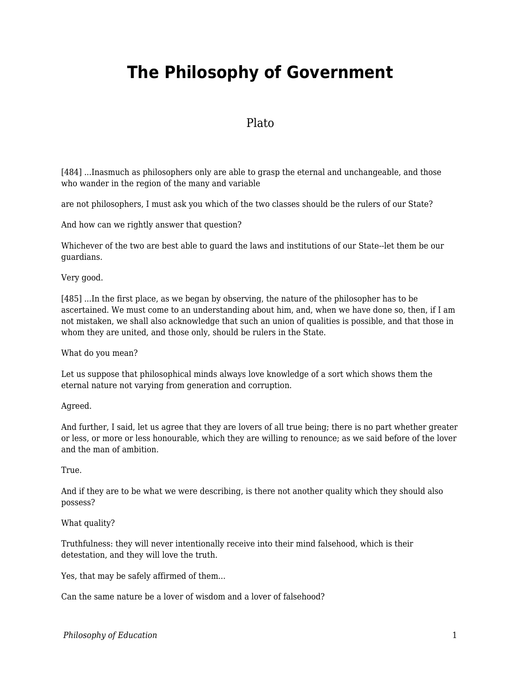# **The Philosophy of Government**

## Plato

[484] ...Inasmuch as philosophers only are able to grasp the eternal and unchangeable, and those who wander in the region of the many and variable

are not philosophers, I must ask you which of the two classes should be the rulers of our State?

And how can we rightly answer that question?

Whichever of the two are best able to guard the laws and institutions of our State--let them be our guardians.

Very good.

[485] ...In the first place, as we began by observing, the nature of the philosopher has to be ascertained. We must come to an understanding about him, and, when we have done so, then, if I am not mistaken, we shall also acknowledge that such an union of qualities is possible, and that those in whom they are united, and those only, should be rulers in the State.

What do you mean?

Let us suppose that philosophical minds always love knowledge of a sort which shows them the eternal nature not varying from generation and corruption.

Agreed.

And further, I said, let us agree that they are lovers of all true being; there is no part whether greater or less, or more or less honourable, which they are willing to renounce; as we said before of the lover and the man of ambition.

True.

And if they are to be what we were describing, is there not another quality which they should also possess?

What quality?

Truthfulness: they will never intentionally receive into their mind falsehood, which is their detestation, and they will love the truth.

Yes, that may be safely affirmed of them...

Can the same nature be a lover of wisdom and a lover of falsehood?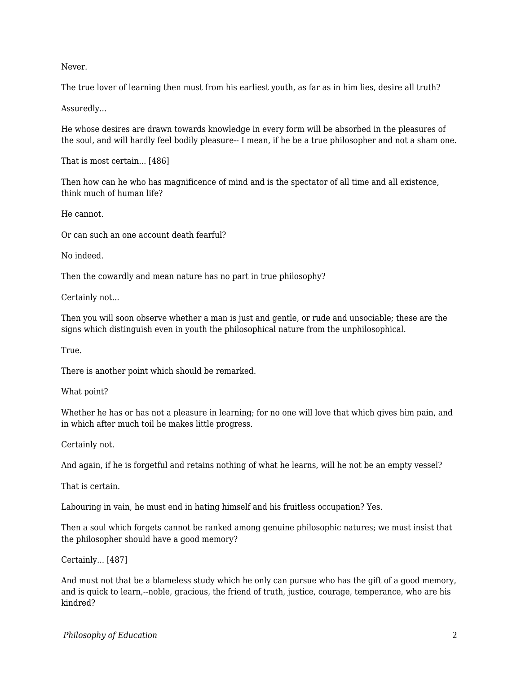Never.

The true lover of learning then must from his earliest youth, as far as in him lies, desire all truth?

Assuredly...

He whose desires are drawn towards knowledge in every form will be absorbed in the pleasures of the soul, and will hardly feel bodily pleasure-- I mean, if he be a true philosopher and not a sham one.

That is most certain... [486]

Then how can he who has magnificence of mind and is the spectator of all time and all existence, think much of human life?

He cannot.

Or can such an one account death fearful?

No indeed.

Then the cowardly and mean nature has no part in true philosophy?

Certainly not...

Then you will soon observe whether a man is just and gentle, or rude and unsociable; these are the signs which distinguish even in youth the philosophical nature from the unphilosophical.

True.

There is another point which should be remarked.

What point?

Whether he has or has not a pleasure in learning; for no one will love that which gives him pain, and in which after much toil he makes little progress.

Certainly not.

And again, if he is forgetful and retains nothing of what he learns, will he not be an empty vessel?

That is certain.

Labouring in vain, he must end in hating himself and his fruitless occupation? Yes.

Then a soul which forgets cannot be ranked among genuine philosophic natures; we must insist that the philosopher should have a good memory?

Certainly... [487]

And must not that be a blameless study which he only can pursue who has the gift of a good memory, and is quick to learn,--noble, gracious, the friend of truth, justice, courage, temperance, who are his kindred?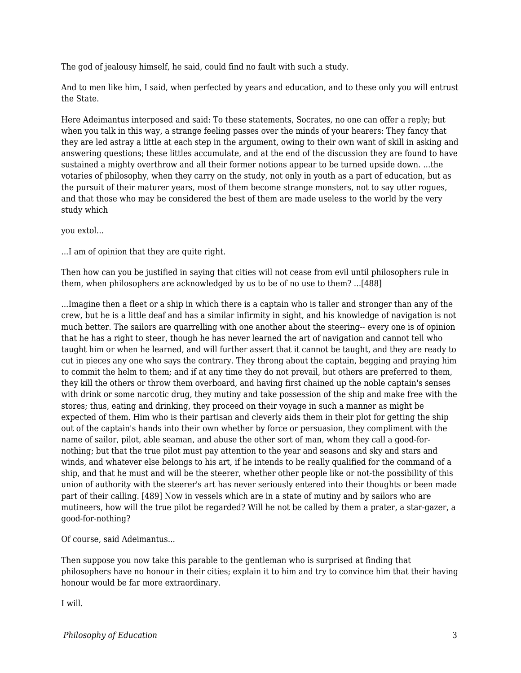The god of jealousy himself, he said, could find no fault with such a study.

And to men like him, I said, when perfected by years and education, and to these only you will entrust the State.

Here Adeimantus interposed and said: To these statements, Socrates, no one can offer a reply; but when you talk in this way, a strange feeling passes over the minds of your hearers: They fancy that they are led astray a little at each step in the argument, owing to their own want of skill in asking and answering questions; these littles accumulate, and at the end of the discussion they are found to have sustained a mighty overthrow and all their former notions appear to be turned upside down. ...the votaries of philosophy, when they carry on the study, not only in youth as a part of education, but as the pursuit of their maturer years, most of them become strange monsters, not to say utter rogues, and that those who may be considered the best of them are made useless to the world by the very study which

you extol...

...I am of opinion that they are quite right.

Then how can you be justified in saying that cities will not cease from evil until philosophers rule in them, when philosophers are acknowledged by us to be of no use to them? ...[488]

...Imagine then a fleet or a ship in which there is a captain who is taller and stronger than any of the crew, but he is a little deaf and has a similar infirmity in sight, and his knowledge of navigation is not much better. The sailors are quarrelling with one another about the steering-- every one is of opinion that he has a right to steer, though he has never learned the art of navigation and cannot tell who taught him or when he learned, and will further assert that it cannot be taught, and they are ready to cut in pieces any one who says the contrary. They throng about the captain, begging and praying him to commit the helm to them; and if at any time they do not prevail, but others are preferred to them, they kill the others or throw them overboard, and having first chained up the noble captain's senses with drink or some narcotic drug, they mutiny and take possession of the ship and make free with the stores; thus, eating and drinking, they proceed on their voyage in such a manner as might be expected of them. Him who is their partisan and cleverly aids them in their plot for getting the ship out of the captain's hands into their own whether by force or persuasion, they compliment with the name of sailor, pilot, able seaman, and abuse the other sort of man, whom they call a good-fornothing; but that the true pilot must pay attention to the year and seasons and sky and stars and winds, and whatever else belongs to his art, if he intends to be really qualified for the command of a ship, and that he must and will be the steerer, whether other people like or not-the possibility of this union of authority with the steerer's art has never seriously entered into their thoughts or been made part of their calling. [489] Now in vessels which are in a state of mutiny and by sailors who are mutineers, how will the true pilot be regarded? Will he not be called by them a prater, a star-gazer, a good-for-nothing?

Of course, said Adeimantus...

Then suppose you now take this parable to the gentleman who is surprised at finding that philosophers have no honour in their cities; explain it to him and try to convince him that their having honour would be far more extraordinary.

I will.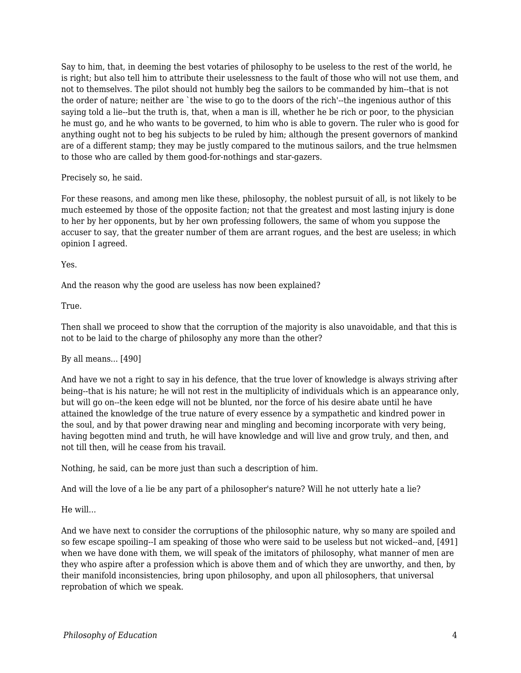Say to him, that, in deeming the best votaries of philosophy to be useless to the rest of the world, he is right; but also tell him to attribute their uselessness to the fault of those who will not use them, and not to themselves. The pilot should not humbly beg the sailors to be commanded by him--that is not the order of nature; neither are `the wise to go to the doors of the rich'--the ingenious author of this saying told a lie--but the truth is, that, when a man is ill, whether he be rich or poor, to the physician he must go, and he who wants to be governed, to him who is able to govern. The ruler who is good for anything ought not to beg his subjects to be ruled by him; although the present governors of mankind are of a different stamp; they may be justly compared to the mutinous sailors, and the true helmsmen to those who are called by them good-for-nothings and star-gazers.

## Precisely so, he said.

For these reasons, and among men like these, philosophy, the noblest pursuit of all, is not likely to be much esteemed by those of the opposite faction; not that the greatest and most lasting injury is done to her by her opponents, but by her own professing followers, the same of whom you suppose the accuser to say, that the greater number of them are arrant rogues, and the best are useless; in which opinion I agreed.

## Yes.

And the reason why the good are useless has now been explained?

## True.

Then shall we proceed to show that the corruption of the majority is also unavoidable, and that this is not to be laid to the charge of philosophy any more than the other?

## By all means... [490]

And have we not a right to say in his defence, that the true lover of knowledge is always striving after being--that is his nature; he will not rest in the multiplicity of individuals which is an appearance only, but will go on--the keen edge will not be blunted, nor the force of his desire abate until he have attained the knowledge of the true nature of every essence by a sympathetic and kindred power in the soul, and by that power drawing near and mingling and becoming incorporate with very being, having begotten mind and truth, he will have knowledge and will live and grow truly, and then, and not till then, will he cease from his travail.

Nothing, he said, can be more just than such a description of him.

And will the love of a lie be any part of a philosopher's nature? Will he not utterly hate a lie?

He will...

And we have next to consider the corruptions of the philosophic nature, why so many are spoiled and so few escape spoiling--I am speaking of those who were said to be useless but not wicked--and, [491] when we have done with them, we will speak of the imitators of philosophy, what manner of men are they who aspire after a profession which is above them and of which they are unworthy, and then, by their manifold inconsistencies, bring upon philosophy, and upon all philosophers, that universal reprobation of which we speak.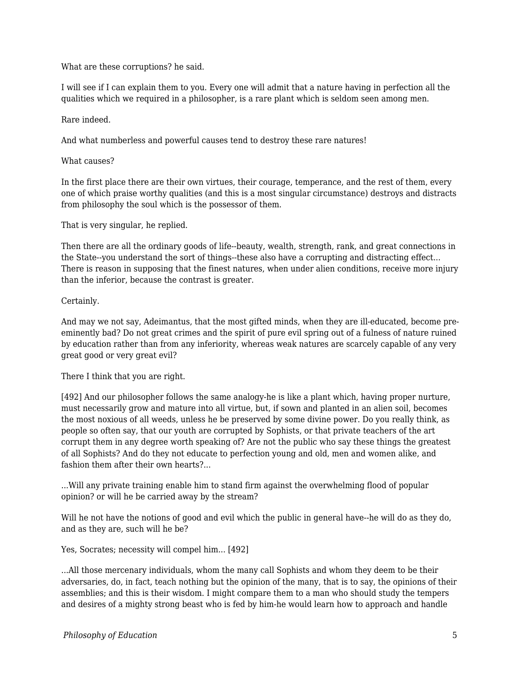What are these corruptions? he said.

I will see if I can explain them to you. Every one will admit that a nature having in perfection all the qualities which we required in a philosopher, is a rare plant which is seldom seen among men.

## Rare indeed.

And what numberless and powerful causes tend to destroy these rare natures!

## What causes?

In the first place there are their own virtues, their courage, temperance, and the rest of them, every one of which praise worthy qualities (and this is a most singular circumstance) destroys and distracts from philosophy the soul which is the possessor of them.

That is very singular, he replied.

Then there are all the ordinary goods of life--beauty, wealth, strength, rank, and great connections in the State--you understand the sort of things--these also have a corrupting and distracting effect... There is reason in supposing that the finest natures, when under alien conditions, receive more injury than the inferior, because the contrast is greater.

## Certainly.

And may we not say, Adeimantus, that the most gifted minds, when they are ill-educated, become preeminently bad? Do not great crimes and the spirit of pure evil spring out of a fulness of nature ruined by education rather than from any inferiority, whereas weak natures are scarcely capable of any very great good or very great evil?

There I think that you are right.

[492] And our philosopher follows the same analogy-he is like a plant which, having proper nurture, must necessarily grow and mature into all virtue, but, if sown and planted in an alien soil, becomes the most noxious of all weeds, unless he be preserved by some divine power. Do you really think, as people so often say, that our youth are corrupted by Sophists, or that private teachers of the art corrupt them in any degree worth speaking of? Are not the public who say these things the greatest of all Sophists? And do they not educate to perfection young and old, men and women alike, and fashion them after their own hearts?...

...Will any private training enable him to stand firm against the overwhelming flood of popular opinion? or will he be carried away by the stream?

Will he not have the notions of good and evil which the public in general have--he will do as they do, and as they are, such will he be?

Yes, Socrates; necessity will compel him... [492]

...All those mercenary individuals, whom the many call Sophists and whom they deem to be their adversaries, do, in fact, teach nothing but the opinion of the many, that is to say, the opinions of their assemblies; and this is their wisdom. I might compare them to a man who should study the tempers and desires of a mighty strong beast who is fed by him-he would learn how to approach and handle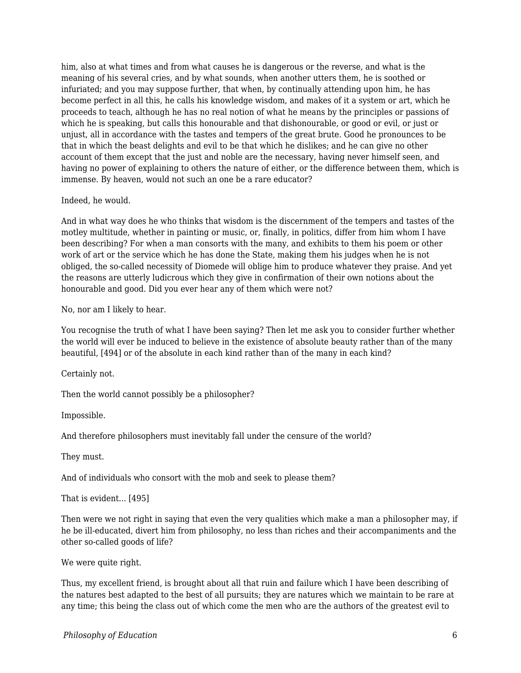him, also at what times and from what causes he is dangerous or the reverse, and what is the meaning of his several cries, and by what sounds, when another utters them, he is soothed or infuriated; and you may suppose further, that when, by continually attending upon him, he has become perfect in all this, he calls his knowledge wisdom, and makes of it a system or art, which he proceeds to teach, although he has no real notion of what he means by the principles or passions of which he is speaking, but calls this honourable and that dishonourable, or good or evil, or just or unjust, all in accordance with the tastes and tempers of the great brute. Good he pronounces to be that in which the beast delights and evil to be that which he dislikes; and he can give no other account of them except that the just and noble are the necessary, having never himself seen, and having no power of explaining to others the nature of either, or the difference between them, which is immense. By heaven, would not such an one be a rare educator?

#### Indeed, he would.

And in what way does he who thinks that wisdom is the discernment of the tempers and tastes of the motley multitude, whether in painting or music, or, finally, in politics, differ from him whom I have been describing? For when a man consorts with the many, and exhibits to them his poem or other work of art or the service which he has done the State, making them his judges when he is not obliged, the so-called necessity of Diomede will oblige him to produce whatever they praise. And yet the reasons are utterly ludicrous which they give in confirmation of their own notions about the honourable and good. Did you ever hear any of them which were not?

No, nor am I likely to hear.

You recognise the truth of what I have been saying? Then let me ask you to consider further whether the world will ever be induced to believe in the existence of absolute beauty rather than of the many beautiful, [494] or of the absolute in each kind rather than of the many in each kind?

Certainly not.

Then the world cannot possibly be a philosopher?

Impossible.

And therefore philosophers must inevitably fall under the censure of the world?

They must.

And of individuals who consort with the mob and seek to please them?

That is evident... [495]

Then were we not right in saying that even the very qualities which make a man a philosopher may, if he be ill-educated, divert him from philosophy, no less than riches and their accompaniments and the other so-called goods of life?

We were quite right.

Thus, my excellent friend, is brought about all that ruin and failure which I have been describing of the natures best adapted to the best of all pursuits; they are natures which we maintain to be rare at any time; this being the class out of which come the men who are the authors of the greatest evil to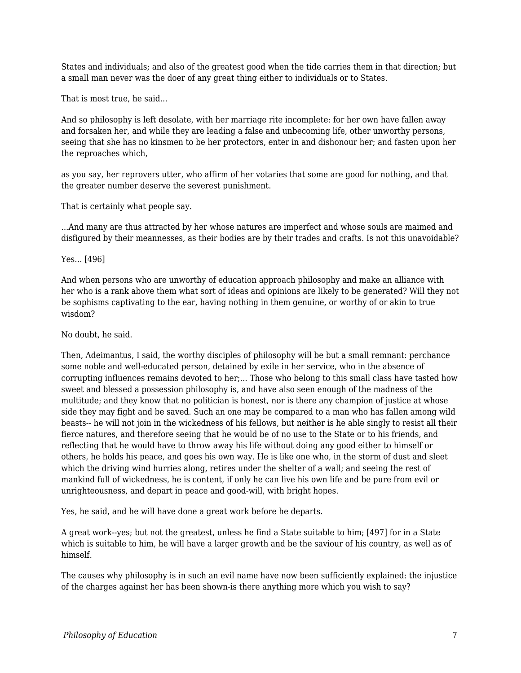States and individuals; and also of the greatest good when the tide carries them in that direction; but a small man never was the doer of any great thing either to individuals or to States.

That is most true, he said...

And so philosophy is left desolate, with her marriage rite incomplete: for her own have fallen away and forsaken her, and while they are leading a false and unbecoming life, other unworthy persons, seeing that she has no kinsmen to be her protectors, enter in and dishonour her; and fasten upon her the reproaches which,

as you say, her reprovers utter, who affirm of her votaries that some are good for nothing, and that the greater number deserve the severest punishment.

That is certainly what people say.

...And many are thus attracted by her whose natures are imperfect and whose souls are maimed and disfigured by their meannesses, as their bodies are by their trades and crafts. Is not this unavoidable?

Yes... [496]

And when persons who are unworthy of education approach philosophy and make an alliance with her who is a rank above them what sort of ideas and opinions are likely to be generated? Will they not be sophisms captivating to the ear, having nothing in them genuine, or worthy of or akin to true wisdom?

## No doubt, he said.

Then, Adeimantus, I said, the worthy disciples of philosophy will be but a small remnant: perchance some noble and well-educated person, detained by exile in her service, who in the absence of corrupting influences remains devoted to her;... Those who belong to this small class have tasted how sweet and blessed a possession philosophy is, and have also seen enough of the madness of the multitude; and they know that no politician is honest, nor is there any champion of justice at whose side they may fight and be saved. Such an one may be compared to a man who has fallen among wild beasts-- he will not join in the wickedness of his fellows, but neither is he able singly to resist all their fierce natures, and therefore seeing that he would be of no use to the State or to his friends, and reflecting that he would have to throw away his life without doing any good either to himself or others, he holds his peace, and goes his own way. He is like one who, in the storm of dust and sleet which the driving wind hurries along, retires under the shelter of a wall; and seeing the rest of mankind full of wickedness, he is content, if only he can live his own life and be pure from evil or unrighteousness, and depart in peace and good-will, with bright hopes.

Yes, he said, and he will have done a great work before he departs.

A great work--yes; but not the greatest, unless he find a State suitable to him; [497] for in a State which is suitable to him, he will have a larger growth and be the saviour of his country, as well as of himself.

The causes why philosophy is in such an evil name have now been sufficiently explained: the injustice of the charges against her has been shown-is there anything more which you wish to say?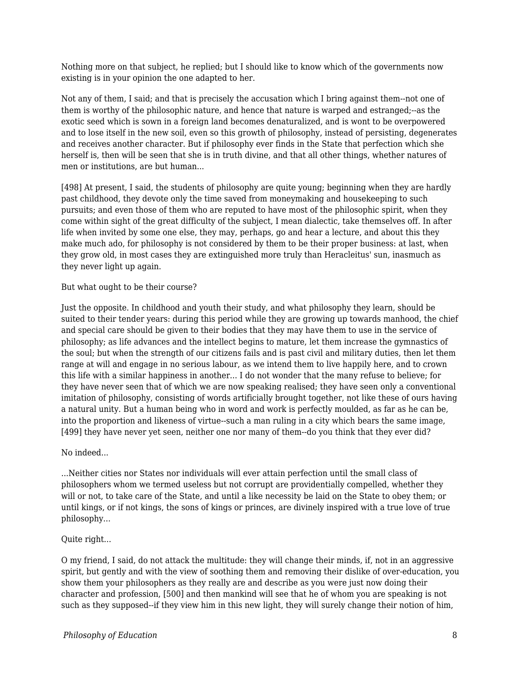Nothing more on that subject, he replied; but I should like to know which of the governments now existing is in your opinion the one adapted to her.

Not any of them, I said; and that is precisely the accusation which I bring against them--not one of them is worthy of the philosophic nature, and hence that nature is warped and estranged;--as the exotic seed which is sown in a foreign land becomes denaturalized, and is wont to be overpowered and to lose itself in the new soil, even so this growth of philosophy, instead of persisting, degenerates and receives another character. But if philosophy ever finds in the State that perfection which she herself is, then will be seen that she is in truth divine, and that all other things, whether natures of men or institutions, are but human...

[498] At present, I said, the students of philosophy are quite young; beginning when they are hardly past childhood, they devote only the time saved from moneymaking and housekeeping to such pursuits; and even those of them who are reputed to have most of the philosophic spirit, when they come within sight of the great difficulty of the subject, I mean dialectic, take themselves off. In after life when invited by some one else, they may, perhaps, go and hear a lecture, and about this they make much ado, for philosophy is not considered by them to be their proper business: at last, when they grow old, in most cases they are extinguished more truly than Heracleitus' sun, inasmuch as they never light up again.

But what ought to be their course?

Just the opposite. In childhood and youth their study, and what philosophy they learn, should be suited to their tender years: during this period while they are growing up towards manhood, the chief and special care should be given to their bodies that they may have them to use in the service of philosophy; as life advances and the intellect begins to mature, let them increase the gymnastics of the soul; but when the strength of our citizens fails and is past civil and military duties, then let them range at will and engage in no serious labour, as we intend them to live happily here, and to crown this life with a similar happiness in another... I do not wonder that the many refuse to believe; for they have never seen that of which we are now speaking realised; they have seen only a conventional imitation of philosophy, consisting of words artificially brought together, not like these of ours having a natural unity. But a human being who in word and work is perfectly moulded, as far as he can be, into the proportion and likeness of virtue--such a man ruling in a city which bears the same image, [499] they have never yet seen, neither one nor many of them--do you think that they ever did?

No indeed...

...Neither cities nor States nor individuals will ever attain perfection until the small class of philosophers whom we termed useless but not corrupt are providentially compelled, whether they will or not, to take care of the State, and until a like necessity be laid on the State to obey them; or until kings, or if not kings, the sons of kings or princes, are divinely inspired with a true love of true philosophy...

Quite right...

O my friend, I said, do not attack the multitude: they will change their minds, if, not in an aggressive spirit, but gently and with the view of soothing them and removing their dislike of over-education, you show them your philosophers as they really are and describe as you were just now doing their character and profession, [500] and then mankind will see that he of whom you are speaking is not such as they supposed--if they view him in this new light, they will surely change their notion of him,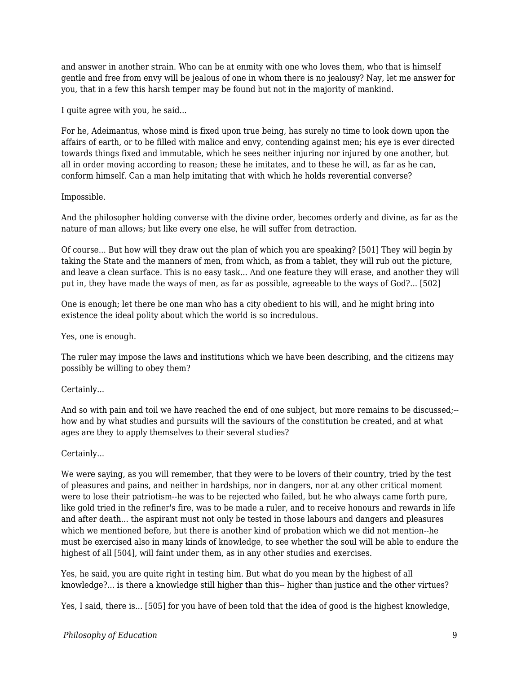and answer in another strain. Who can be at enmity with one who loves them, who that is himself gentle and free from envy will be jealous of one in whom there is no jealousy? Nay, let me answer for you, that in a few this harsh temper may be found but not in the majority of mankind.

I quite agree with you, he said...

For he, Adeimantus, whose mind is fixed upon true being, has surely no time to look down upon the affairs of earth, or to be filled with malice and envy, contending against men; his eye is ever directed towards things fixed and immutable, which he sees neither injuring nor injured by one another, but all in order moving according to reason; these he imitates, and to these he will, as far as he can, conform himself. Can a man help imitating that with which he holds reverential converse?

## Impossible.

And the philosopher holding converse with the divine order, becomes orderly and divine, as far as the nature of man allows; but like every one else, he will suffer from detraction.

Of course... But how will they draw out the plan of which you are speaking? [501] They will begin by taking the State and the manners of men, from which, as from a tablet, they will rub out the picture, and leave a clean surface. This is no easy task... And one feature they will erase, and another they will put in, they have made the ways of men, as far as possible, agreeable to the ways of God?... [502]

One is enough; let there be one man who has a city obedient to his will, and he might bring into existence the ideal polity about which the world is so incredulous.

Yes, one is enough.

The ruler may impose the laws and institutions which we have been describing, and the citizens may possibly be willing to obey them?

## Certainly...

And so with pain and toil we have reached the end of one subject, but more remains to be discussed;- how and by what studies and pursuits will the saviours of the constitution be created, and at what ages are they to apply themselves to their several studies?

## Certainly...

We were saying, as you will remember, that they were to be lovers of their country, tried by the test of pleasures and pains, and neither in hardships, nor in dangers, nor at any other critical moment were to lose their patriotism--he was to be rejected who failed, but he who always came forth pure, like gold tried in the refiner's fire, was to be made a ruler, and to receive honours and rewards in life and after death... the aspirant must not only be tested in those labours and dangers and pleasures which we mentioned before, but there is another kind of probation which we did not mention--he must be exercised also in many kinds of knowledge, to see whether the soul will be able to endure the highest of all [504], will faint under them, as in any other studies and exercises.

Yes, he said, you are quite right in testing him. But what do you mean by the highest of all knowledge?... is there a knowledge still higher than this-- higher than justice and the other virtues?

Yes, I said, there is... [505] for you have of been told that the idea of good is the highest knowledge,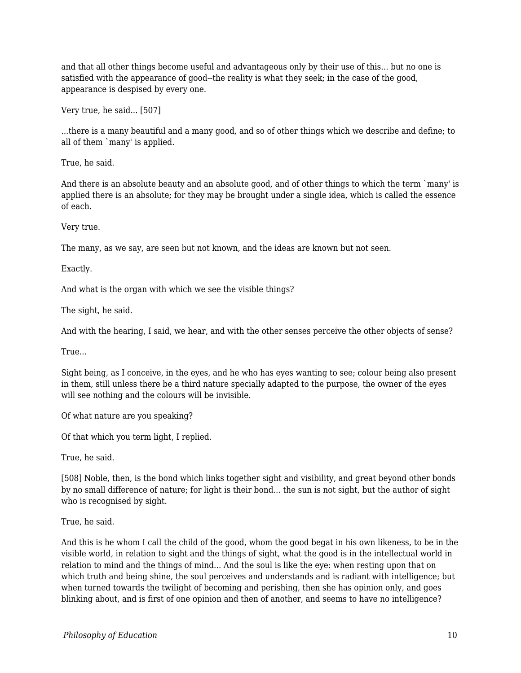and that all other things become useful and advantageous only by their use of this... but no one is satisfied with the appearance of good--the reality is what they seek; in the case of the good, appearance is despised by every one.

Very true, he said... [507]

...there is a many beautiful and a many good, and so of other things which we describe and define; to all of them `many' is applied.

True, he said.

And there is an absolute beauty and an absolute good, and of other things to which the term `many' is applied there is an absolute; for they may be brought under a single idea, which is called the essence of each.

Very true.

The many, as we say, are seen but not known, and the ideas are known but not seen.

Exactly.

And what is the organ with which we see the visible things?

The sight, he said.

And with the hearing, I said, we hear, and with the other senses perceive the other objects of sense?

True...

Sight being, as I conceive, in the eyes, and he who has eyes wanting to see; colour being also present in them, still unless there be a third nature specially adapted to the purpose, the owner of the eyes will see nothing and the colours will be invisible.

Of what nature are you speaking?

Of that which you term light, I replied.

True, he said.

[508] Noble, then, is the bond which links together sight and visibility, and great beyond other bonds by no small difference of nature; for light is their bond... the sun is not sight, but the author of sight who is recognised by sight.

True, he said.

And this is he whom I call the child of the good, whom the good begat in his own likeness, to be in the visible world, in relation to sight and the things of sight, what the good is in the intellectual world in relation to mind and the things of mind... And the soul is like the eye: when resting upon that on which truth and being shine, the soul perceives and understands and is radiant with intelligence; but when turned towards the twilight of becoming and perishing, then she has opinion only, and goes blinking about, and is first of one opinion and then of another, and seems to have no intelligence?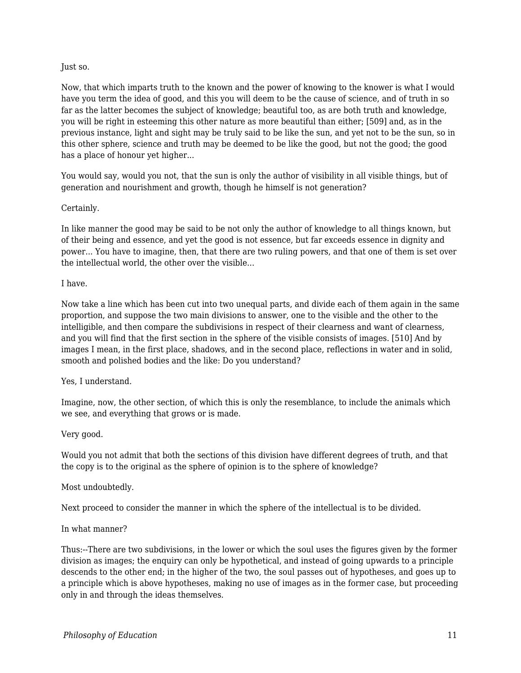## Just so.

Now, that which imparts truth to the known and the power of knowing to the knower is what I would have you term the idea of good, and this you will deem to be the cause of science, and of truth in so far as the latter becomes the subject of knowledge; beautiful too, as are both truth and knowledge, you will be right in esteeming this other nature as more beautiful than either; [509] and, as in the previous instance, light and sight may be truly said to be like the sun, and yet not to be the sun, so in this other sphere, science and truth may be deemed to be like the good, but not the good; the good has a place of honour yet higher...

You would say, would you not, that the sun is only the author of visibility in all visible things, but of generation and nourishment and growth, though he himself is not generation?

## Certainly.

In like manner the good may be said to be not only the author of knowledge to all things known, but of their being and essence, and yet the good is not essence, but far exceeds essence in dignity and power... You have to imagine, then, that there are two ruling powers, and that one of them is set over the intellectual world, the other over the visible...

## I have.

Now take a line which has been cut into two unequal parts, and divide each of them again in the same proportion, and suppose the two main divisions to answer, one to the visible and the other to the intelligible, and then compare the subdivisions in respect of their clearness and want of clearness, and you will find that the first section in the sphere of the visible consists of images. [510] And by images I mean, in the first place, shadows, and in the second place, reflections in water and in solid, smooth and polished bodies and the like: Do you understand?

## Yes, I understand.

Imagine, now, the other section, of which this is only the resemblance, to include the animals which we see, and everything that grows or is made.

## Very good.

Would you not admit that both the sections of this division have different degrees of truth, and that the copy is to the original as the sphere of opinion is to the sphere of knowledge?

## Most undoubtedly.

Next proceed to consider the manner in which the sphere of the intellectual is to be divided.

## In what manner?

Thus:--There are two subdivisions, in the lower or which the soul uses the figures given by the former division as images; the enquiry can only be hypothetical, and instead of going upwards to a principle descends to the other end; in the higher of the two, the soul passes out of hypotheses, and goes up to a principle which is above hypotheses, making no use of images as in the former case, but proceeding only in and through the ideas themselves.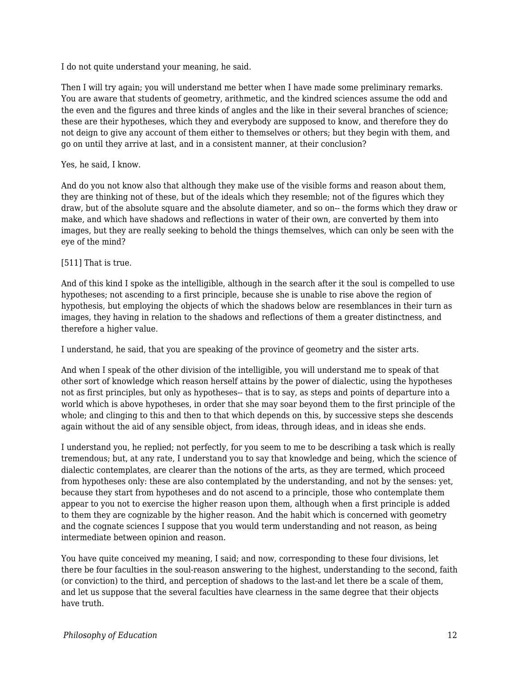I do not quite understand your meaning, he said.

Then I will try again; you will understand me better when I have made some preliminary remarks. You are aware that students of geometry, arithmetic, and the kindred sciences assume the odd and the even and the figures and three kinds of angles and the like in their several branches of science; these are their hypotheses, which they and everybody are supposed to know, and therefore they do not deign to give any account of them either to themselves or others; but they begin with them, and go on until they arrive at last, and in a consistent manner, at their conclusion?

#### Yes, he said, I know.

And do you not know also that although they make use of the visible forms and reason about them, they are thinking not of these, but of the ideals which they resemble; not of the figures which they draw, but of the absolute square and the absolute diameter, and so on-- the forms which they draw or make, and which have shadows and reflections in water of their own, are converted by them into images, but they are really seeking to behold the things themselves, which can only be seen with the eye of the mind?

#### [511] That is true.

And of this kind I spoke as the intelligible, although in the search after it the soul is compelled to use hypotheses; not ascending to a first principle, because she is unable to rise above the region of hypothesis, but employing the objects of which the shadows below are resemblances in their turn as images, they having in relation to the shadows and reflections of them a greater distinctness, and therefore a higher value.

I understand, he said, that you are speaking of the province of geometry and the sister arts.

And when I speak of the other division of the intelligible, you will understand me to speak of that other sort of knowledge which reason herself attains by the power of dialectic, using the hypotheses not as first principles, but only as hypotheses-- that is to say, as steps and points of departure into a world which is above hypotheses, in order that she may soar beyond them to the first principle of the whole; and clinging to this and then to that which depends on this, by successive steps she descends again without the aid of any sensible object, from ideas, through ideas, and in ideas she ends.

I understand you, he replied; not perfectly, for you seem to me to be describing a task which is really tremendous; but, at any rate, I understand you to say that knowledge and being, which the science of dialectic contemplates, are clearer than the notions of the arts, as they are termed, which proceed from hypotheses only: these are also contemplated by the understanding, and not by the senses: yet, because they start from hypotheses and do not ascend to a principle, those who contemplate them appear to you not to exercise the higher reason upon them, although when a first principle is added to them they are cognizable by the higher reason. And the habit which is concerned with geometry and the cognate sciences I suppose that you would term understanding and not reason, as being intermediate between opinion and reason.

You have quite conceived my meaning, I said; and now, corresponding to these four divisions, let there be four faculties in the soul-reason answering to the highest, understanding to the second, faith (or conviction) to the third, and perception of shadows to the last-and let there be a scale of them, and let us suppose that the several faculties have clearness in the same degree that their objects have truth.